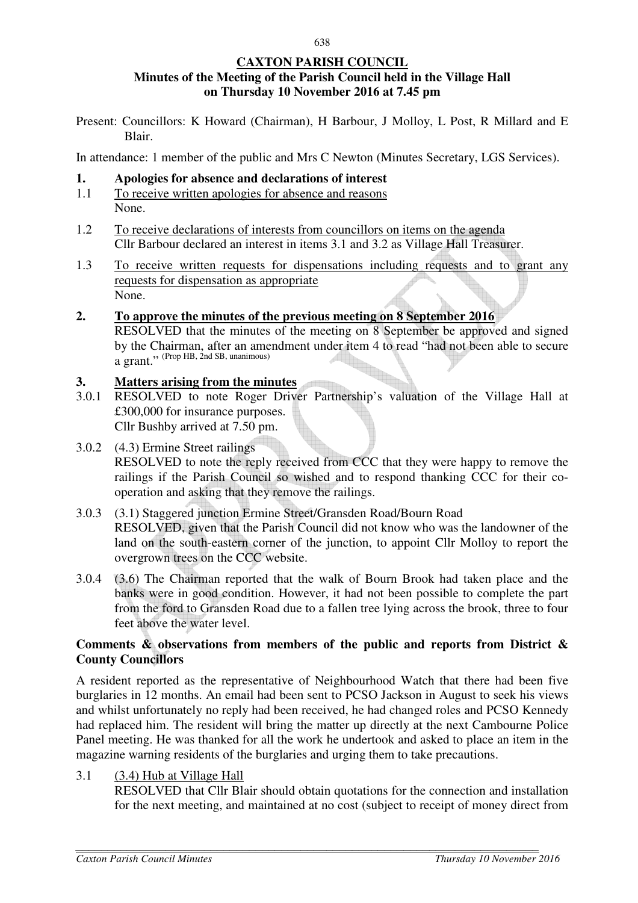## **CAXTON PARISH COUNCIL Minutes of the Meeting of the Parish Council held in the Village Hall on Thursday 10 November 2016 at 7.45 pm**

Present: Councillors: K Howard (Chairman), H Barbour, J Molloy, L Post, R Millard and E Blair.

In attendance: 1 member of the public and Mrs C Newton (Minutes Secretary, LGS Services).

#### **1. Apologies for absence and declarations of interest**

- 1.1 To receive written apologies for absence and reasons None.
- 1.2 To receive declarations of interests from councillors on items on the agenda Cllr Barbour declared an interest in items 3.1 and 3.2 as Village Hall Treasurer.
- 1.3 To receive written requests for dispensations including requests and to grant any requests for dispensation as appropriate None.

## **2. To approve the minutes of the previous meeting on 8 September 2016**

 RESOLVED that the minutes of the meeting on 8 September be approved and signed by the Chairman, after an amendment under item 4 to read "had not been able to secure a grant." (Prop HB, 2nd SB, unanimous)

## **3. Matters arising from the minutes**

- 3.0.1 RESOLVED to note Roger Driver Partnership's valuation of the Village Hall at £300,000 for insurance purposes. Cllr Bushby arrived at 7.50 pm.
- 3.0.2 (4.3) Ermine Street railings RESOLVED to note the reply received from CCC that they were happy to remove the railings if the Parish Council so wished and to respond thanking CCC for their cooperation and asking that they remove the railings.
- 3.0.3 (3.1) Staggered junction Ermine Street/Gransden Road/Bourn Road RESOLVED, given that the Parish Council did not know who was the landowner of the land on the south-eastern corner of the junction, to appoint Cllr Molloy to report the overgrown trees on the CCC website.
- 3.0.4 (3.6) The Chairman reported that the walk of Bourn Brook had taken place and the banks were in good condition. However, it had not been possible to complete the part from the ford to Gransden Road due to a fallen tree lying across the brook, three to four feet above the water level.

## **Comments & observations from members of the public and reports from District & County Councillors**

A resident reported as the representative of Neighbourhood Watch that there had been five burglaries in 12 months. An email had been sent to PCSO Jackson in August to seek his views and whilst unfortunately no reply had been received, he had changed roles and PCSO Kennedy had replaced him. The resident will bring the matter up directly at the next Cambourne Police Panel meeting. He was thanked for all the work he undertook and asked to place an item in the magazine warning residents of the burglaries and urging them to take precautions.

3.1 (3.4) Hub at Village Hall

RESOLVED that Cllr Blair should obtain quotations for the connection and installation for the next meeting, and maintained at no cost (subject to receipt of money direct from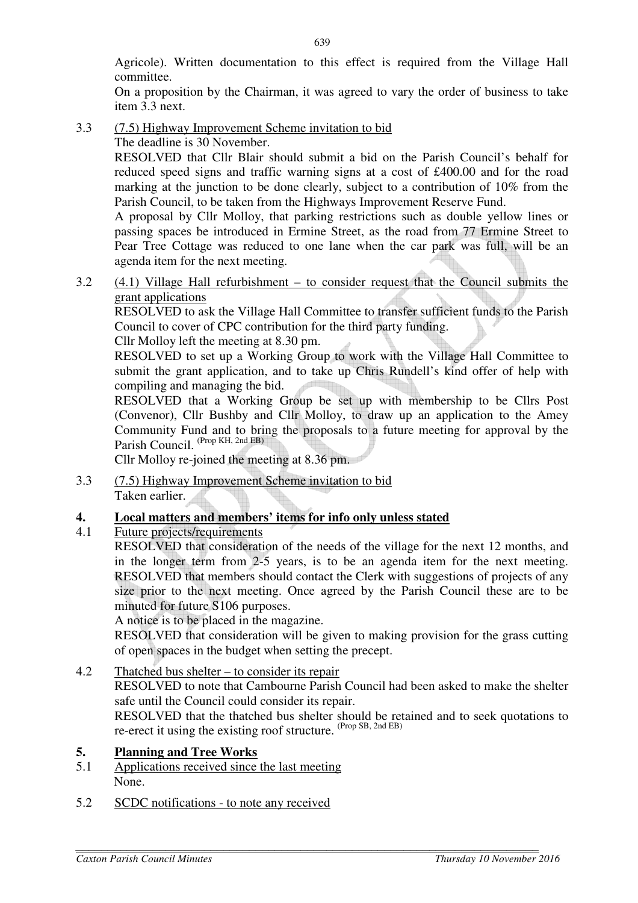Agricole). Written documentation to this effect is required from the Village Hall committee.

On a proposition by the Chairman, it was agreed to vary the order of business to take item 3.3 next.

3.3 (7.5) Highway Improvement Scheme invitation to bid The deadline is 30 November.

> RESOLVED that Cllr Blair should submit a bid on the Parish Council's behalf for reduced speed signs and traffic warning signs at a cost of £400.00 and for the road marking at the junction to be done clearly, subject to a contribution of 10% from the Parish Council, to be taken from the Highways Improvement Reserve Fund.

> A proposal by Cllr Molloy, that parking restrictions such as double yellow lines or passing spaces be introduced in Ermine Street, as the road from 77 Ermine Street to Pear Tree Cottage was reduced to one lane when the car park was full, will be an agenda item for the next meeting.

3.2 (4.1) Village Hall refurbishment – to consider request that the Council submits the grant applications

 RESOLVED to ask the Village Hall Committee to transfer sufficient funds to the Parish Council to cover of CPC contribution for the third party funding.

Cllr Molloy left the meeting at 8.30 pm.

 RESOLVED to set up a Working Group to work with the Village Hall Committee to submit the grant application, and to take up Chris Rundell's kind offer of help with compiling and managing the bid.

 RESOLVED that a Working Group be set up with membership to be Cllrs Post (Convenor), Cllr Bushby and Cllr Molloy, to draw up an application to the Amey Community Fund and to bring the proposals to a future meeting for approval by the Parish Council. (Prop KH, 2nd EB)

Cllr Molloy re-joined the meeting at 8.36 pm.

3.3 (7.5) Highway Improvement Scheme invitation to bid Taken earlier.

# **4. Local matters and members' items for info only unless stated**

4.1 Future projects/requirements

RESOLVED that consideration of the needs of the village for the next 12 months, and in the longer term from 2-5 years, is to be an agenda item for the next meeting. RESOLVED that members should contact the Clerk with suggestions of projects of any size prior to the next meeting. Once agreed by the Parish Council these are to be minuted for future S106 purposes.

A notice is to be placed in the magazine.

RESOLVED that consideration will be given to making provision for the grass cutting of open spaces in the budget when setting the precept.

4.2 Thatched bus shelter – to consider its repair RESOLVED to note that Cambourne Parish Council had been asked to make the shelter safe until the Council could consider its repair. RESOLVED that the thatched bus shelter should be retained and to seek quotations to re-erect it using the existing roof structure.  $(\text{Prop SB}, \text{2nd EB})$ 

## **5. Planning and Tree Works**

- 5.1 Applications received since the last meeting None.
- 5.2 SCDC notifications to note any received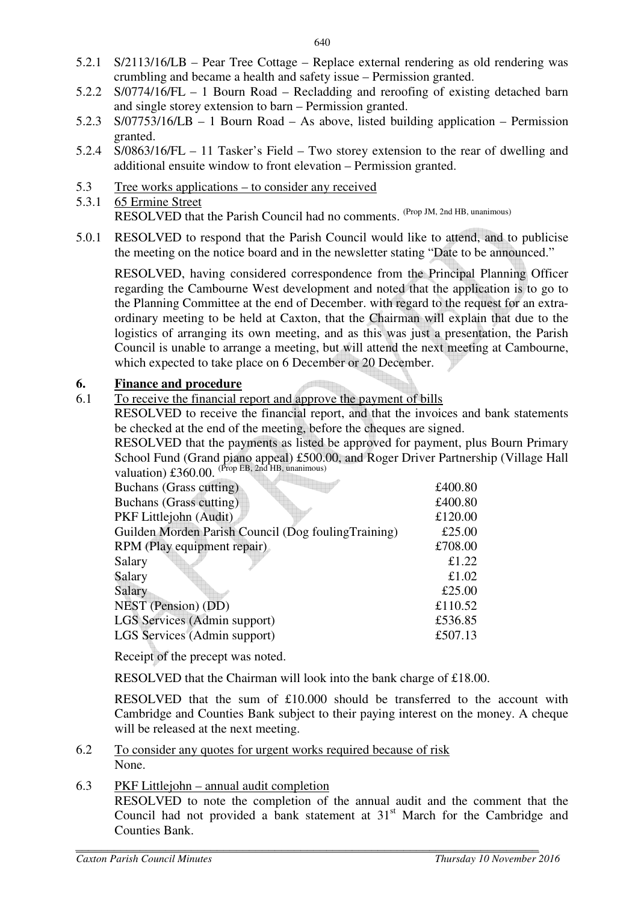- 5.2.1 S/2113/16/LB Pear Tree Cottage Replace external rendering as old rendering was crumbling and became a health and safety issue – Permission granted.
- 5.2.2 S/0774/16/FL 1 Bourn Road Recladding and reroofing of existing detached barn and single storey extension to barn – Permission granted.
- 5.2.3 S/07753/16/LB 1 Bourn Road As above, listed building application Permission granted.
- 5.2.4 S/0863/16/FL 11 Tasker's Field Two storey extension to the rear of dwelling and additional ensuite window to front elevation – Permission granted.
- 5.3 Tree works applications to consider any received
- 5.3.1 65 Ermine Street RESOLVED that the Parish Council had no comments. (Prop JM, 2nd HB, unanimous)
- 5.0.1 RESOLVED to respond that the Parish Council would like to attend, and to publicise the meeting on the notice board and in the newsletter stating "Date to be announced."

 RESOLVED, having considered correspondence from the Principal Planning Officer regarding the Cambourne West development and noted that the application is to go to the Planning Committee at the end of December. with regard to the request for an extraordinary meeting to be held at Caxton, that the Chairman will explain that due to the logistics of arranging its own meeting, and as this was just a presentation, the Parish Council is unable to arrange a meeting, but will attend the next meeting at Cambourne, which expected to take place on 6 December or 20 December.

## **6. Finance and procedure**

6.1 To receive the financial report and approve the payment of bills

RESOLVED to receive the financial report, and that the invoices and bank statements be checked at the end of the meeting, before the cheques are signed.

RESOLVED that the payments as listed be approved for payment, plus Bourn Primary School Fund (Grand piano appeal) £500.00, and Roger Driver Partnership (Village Hall valuation)  $\pounds360.00$ . (Prop EB, 2nd HB, unanimous)

| Buchans (Grass cutting)                              | £400.80 |
|------------------------------------------------------|---------|
| Buchans (Grass cutting)                              | £400.80 |
| PKF Littlejohn (Audit)                               | £120.00 |
| Guilden Morden Parish Council (Dog fouling Training) | £25.00  |
| RPM (Play equipment repair)                          | £708.00 |
| Salary                                               | £1.22   |
| Salary                                               | £1.02   |
| Salary                                               | £25.00  |
| NEST (Pension) (DD)                                  | £110.52 |
| <b>LGS Services (Admin support)</b>                  | £536.85 |
| LGS Services (Admin support)                         | £507.13 |
|                                                      |         |

Receipt of the precept was noted.

RESOLVED that the Chairman will look into the bank charge of £18.00.

RESOLVED that the sum of £10.000 should be transferred to the account with Cambridge and Counties Bank subject to their paying interest on the money. A cheque will be released at the next meeting.

6.2 To consider any quotes for urgent works required because of risk None.

# 6.3 PKF Littlejohn – annual audit completion

RESOLVED to note the completion of the annual audit and the comment that the Council had not provided a bank statement at  $31<sup>st</sup>$  March for the Cambridge and Counties Bank.